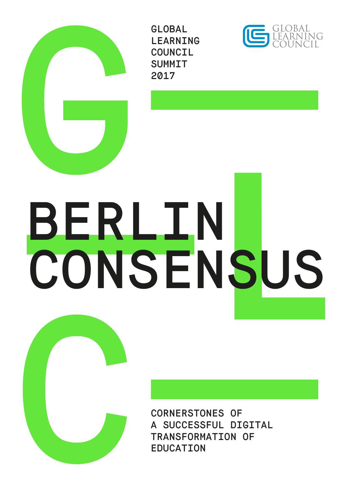

# BERLIN **CONSENSUS**

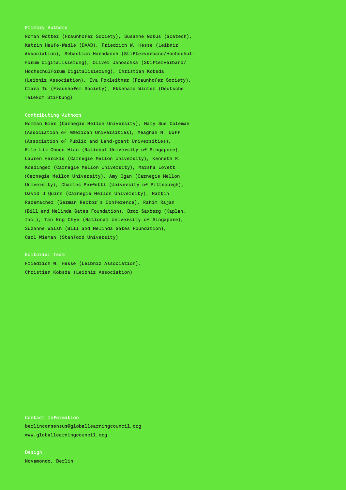Roman Götter (Fraunhofer Society), Susanne Gokus (acatech), Katrin Haufe-Wadle (DAAD), Friedrich W. Hesse (Leibniz Association), Sebastian Horndasch (Stifterverband/Hochschulforum Digitalisierung), Oliver Janoschka (Stifterverband/ Hochschulforum Digitalisierung), Christian Kobsda (Leibniz Association), Eva Poxleitner (Fraunhofer Society), Clara Tu (Fraunhofer Society), Ekkehard Winter (Deutsche Telekom Stiftung)

#### Contributing Authors

B Carl Wieman (Stanford University) Norman Bier (Carnegie Mellon University), Mary Sue Coleman (Association of American Universities), Meaghan N. Duff (Association of Public and Land-grant Universities), Erle Lim Chuen Hian (National University of Singapore), Lauren Herckis (Carnegie Mellon University), Kenneth R. Koedinger (Carnegie Mellon University), Marsha Lovett (Carnegie Mellon University), Amy Ogan (Carnegie Mellon University), Charles Perfetti (University of Pittsburgh), David J Quinn (Carnegie Mellon University), Martin Rademacher (German Rector's Conference), Rahim Rajan (Bill and Melinda Gates Foundation), Bror Saxberg (Kaplan, Inc.), Tan Eng Chye (National University of Singapore), Suzanne Walsh (Bill and Melinda Gates Foundation),

#### Editorial Team

Friedrich W. Hesse (Leibniz Association), Christian Kobsda (Leibniz Association)

Contact Information berlinconsensus@globallearningcouncil.org www.globallearningcouncil.org

Design Novamondo, Berlin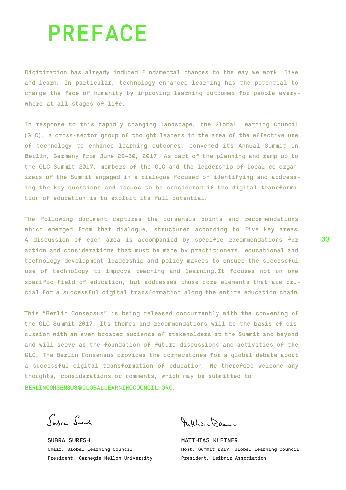## PREFACE

Digitization has already induced fundamental changes to the way we work, live and learn. In particular, technology-enhanced learning has the potential to change the face of humanity by improving learning outcomes for people everywhere at all stages of life.

In response to this rapidly changing landscape, the Global Learning Council (GLC), a cross-sector group of thought leaders in the area of the effective use of technology to enhance learning outcomes, convened its Annual Summit in Berlin, Germany from June 29–30, 2017. As part of the planning and ramp up to the GLC Summit 2017, members of the GLC and the leadership of local co-organizers of the Summit engaged in a dialogue focused on identifying and addressing the key questions and issues to be considered if the digital transformation of education is to exploit its full potential.

The following document captures the consensus points and recommendations which emerged from that dialogue, structured according to five key areas. A discussion of each area is accompanied by specific recommendations for action and considerations that must be made by practitioners, educational and technology development leadership and policy makers to ensure the successful use of technology to improve teaching and learning.It focuses not on one specific field of education, but addresses those core elements that are crucial for a successful digital transformation along the entire education chain.

This "Berlin Consensus" is being released concurrently with the convening of the GLC Summit 2017. Its themes and recommendations will be the basis of discussion with an even broader audience of stakeholders at the Summit and beyond and will serve as the foundation of future discussions and activities of the GLC. The Berlin Consensus provides the cornerstones for a global debate about a successful digital transformation of education. We therefore welcome any thoughts, considerations or comments, which may be submitted to BERLINCONSENSUS@GLOBALLEARNINGCOUNCIL.ORG.

Sudre Suret

SUBRA SURESH Chair, Global Learning Council President, Carnegie Mellon University

Natthews Deam -

MATTHIAS KLEINER Host, Summit 2017, Global Learning Council President, Leibniz Association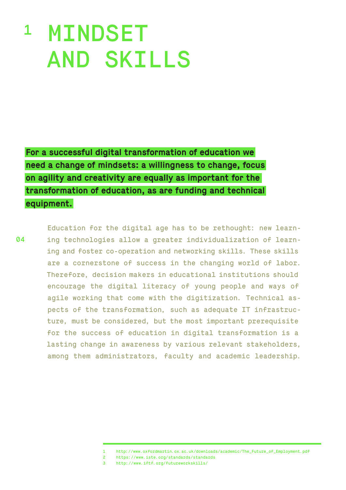# <sup>1</sup> MINDSET AND SKILLS

**For a successful digital transformation of education we need a change of mindsets: a willingness to change, focus on agility and creativity are equally as important for the transformation of education, as are funding and technical equipment.**

04

Education for the digital age has to be rethought: new learning technologies allow a greater individualization of learning and foster co-operation and networking skills. These skills are a cornerstone of success in the changing world of labor. Therefore, decision makers in educational institutions should encourage the digital literacy of young people and ways of agile working that come with the digitization. Technical aspects of the transformation, such as adequate IT infrastructure, must be considered, but the most important prerequisite for the success of education in digital transformation is a lasting change in awareness by various relevant stakeholders, among them administrators, faculty and academic leadership.

<sup>1</sup> http://www.oxfordmartin.ox.ac.uk/downloads/academic/The\_Future\_of\_Employment.pdf

<sup>2</sup> https://www.iste.org/standards/standards

<sup>3</sup> http://www.iftf.org/futureworkskills/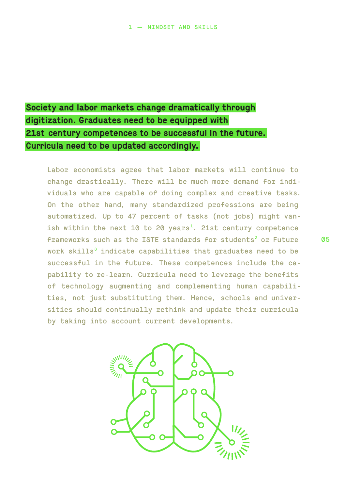## **Society and labor markets change dramatically through digitization. Graduates need to be equipped with 21st century competences to be successful in the future. Curricula need to be updated accordingly.**

Labor economists agree that labor markets will continue to change drastically. There will be much more demand for individuals who are capable of doing complex and creative tasks. On the other hand, many standardized professions are being automatized. Up to 47 percent of tasks (not jobs) might vanish within the next 10 to 20 years<sup>1</sup>. 21st century competence frameworks such as the ISTE standards for students<sup>2</sup> or Future work skills $^3$  indicate capabilities that graduates need to be successful in the future. These competences include the capability to re-learn. Curricula need to leverage the benefits of technology augmenting and complementing human capabilities, not just substituting them. Hence, schools and universities should continually rethink and update their curricula by taking into account current developments.

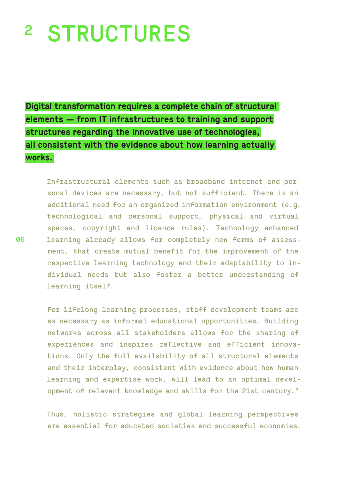# <sup>2</sup> STRUCTURES

**Digital transformation requires a complete chain of structural elements — from IT infrastructures to training and support structures regarding the innovative use of technologies, all consistent with the evidence about how learning actually works.**

Infrastructural elements such as broadband internet and personal devices are necessary, but not sufficient. There is an additional need for an organized information environment (e.g. technological and personal support, physical and virtual spaces, copyright and licence rules). Technology enhanced learning already allows for completely new forms of assessment, that create mutual benefit for the improvement of the respective learning technology and their adaptability to individual needs but also foster a better understanding of learning itself.

For lifelong-learning processes, staff development teams are as necessary as informal educational opportunities. Building networks across all stakeholders allows for the sharing of experiences and inspires reflective and efficient innovations. Only the full availability of all structural elements and their interplay, consistent with evidence about how human learning and expertise work, will lead to an optimal development of relevant knowledge and skills for the 21st century.<sup>4</sup>

Thus, holistic strategies and global learning perspectives are essential for educated societies and successful economies.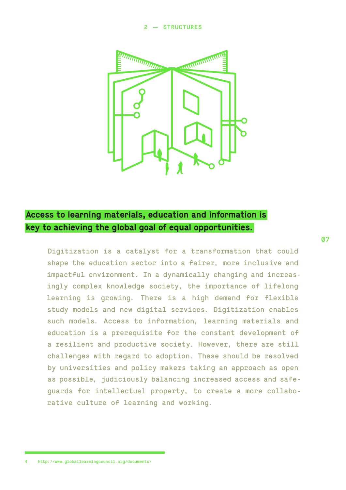#### 2 — STRUCTURES



#### **Access to learning materials, education and information is key to achieving the global goal of equal opportunities.**

Digitization is a catalyst for a transformation that could shape the education sector into a fairer, more inclusive and impactful environment. In a dynamically changing and increasingly complex knowledge society, the importance of lifelong learning is growing. There is a high demand for flexible study models and new digital services. Digitization enables such models. Access to information, learning materials and education is a prerequisite for the constant development of a resilient and productive society. However, there are still challenges with regard to adoption. These should be resolved by universities and policy makers taking an approach as open as possible, judiciously balancing increased access and safeguards for intellectual property, to create a more collaborative culture of learning and working.

07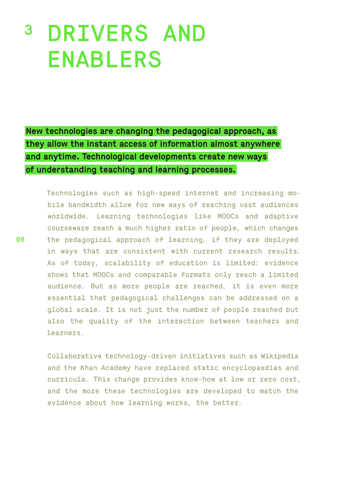## DRIVERS AND ENABLERS 3

**New technologies are changing the pedagogical approach, as they allow the instant access of information almost anywhere and anytime. Technological developments create new ways of understanding teaching and learning processes.**

Technologies such as high-speed internet and increasing mobile bandwidth allow for new ways of reaching vast audiences worldwide. Learning technologies like MOOCs and adaptive courseware reach a much higher ratio of people, which changes the pedagogical approach of learning, if they are deployed in ways that are consistent with current research results. As of today, scalability of education is limited: evidence shows that MOOCs and comparable formats only reach a limited audience. But as more people are reached, it is even more essential that pedagogical challenges can be addressed on a global scale. It is not just the number of people reached but also the quality of the interaction between teachers and learners.

Collaborative technology-driven initiatives such as Wikipedia and the Khan Academy have replaced static encyclopaedias and curricula. This change provides know-how at low or zero cost, and the more these technologies are developed to match the evidence about how learning works, the better.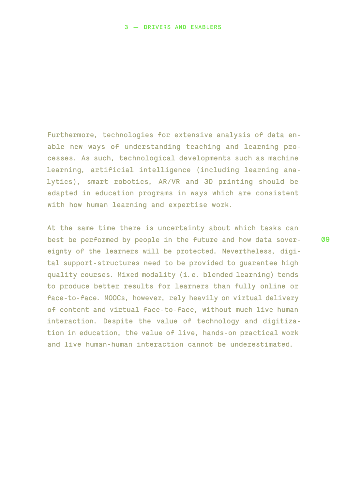Furthermore, technologies for extensive analysis of data enable new ways of understanding teaching and learning processes. As such, technological developments such as machine learning, artificial intelligence (including learning analytics), smart robotics, AR/VR and 3D printing should be adapted in education programs in ways which are consistent with how human learning and expertise work.

At the same time there is uncertainty about which tasks can best be performed by people in the future and how data sovereignty of the learners will be protected. Nevertheless, digital support-structures need to be provided to guarantee high quality courses. Mixed modality (i.e. blended learning) tends to produce better results for learners than fully online or face-to-face. MOOCs, however, rely heavily on virtual delivery of content and virtual face-to-face, without much live human interaction. Despite the value of technology and digitization in education, the value of live, hands-on practical work and live human-human interaction cannot be underestimated.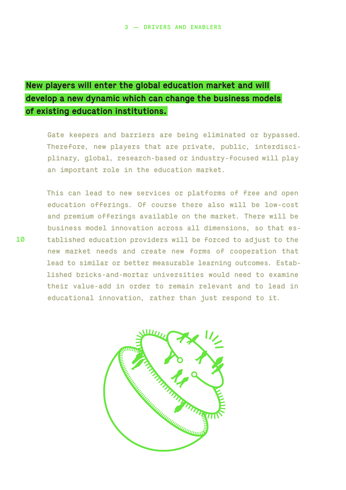#### **New players will enter the global education market and will develop a new dynamic which can change the business models of existing education institutions.**

Gate keepers and barriers are being eliminated or bypassed. Therefore, new players that are private, public, interdisciplinary, global, research-based or industry-focused will play an important role in the education market.

This can lead to new services or platforms of free and open education offerings. Of course there also will be low-cost and premium offerings available on the market. There will be business model innovation across all dimensions, so that established education providers will be forced to adjust to the new market needs and create new forms of cooperation that lead to similar or better measurable learning outcomes. Established bricks-and-mortar universities would need to examine their value-add in order to remain relevant and to lead in educational innovation, rather than just respond to it.

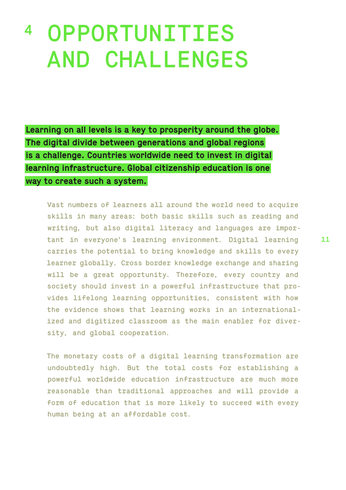# <sup>4</sup> OPPORTUNITIES AND CHALLENGES

**Learning on all levels is a key to prosperity around the globe. The digital divide between generations and global regions is a challenge. Countries worldwide need to invest in digital learning infrastructure. Global citizenship education is one way to create such a system.**

Vast numbers of learners all around the world need to acquire skills in many areas: both basic skills such as reading and writing, but also digital literacy and languages are important in everyone's learning environment. Digital learning carries the potential to bring knowledge and skills to every learner globally. Cross border knowledge exchange and sharing will be a great opportunity. Therefore, every country and society should invest in a powerful infrastructure that provides lifelong learning opportunities, consistent with how the evidence shows that learning works in an internationalized and digitized classroom as the main enabler for diversity, and global cooperation.

The monetary costs of a digital learning transformation are undoubtedly high. But the total costs for establishing a powerful worldwide education infrastructure are much more reasonable than traditional approaches and will provide a form of education that is more likely to succeed with every human being at an affordable cost.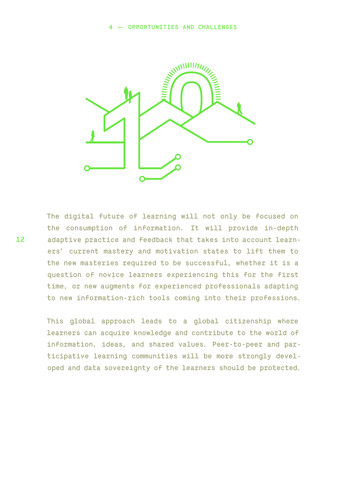

The digital future of learning will not only be focused on the consumption of information. It will provide in-depth adaptive practice and feedback that takes into account learners' current mastery and motivation states to lift them to the new masteries required to be successful, whether it is a question of novice learners experiencing this for the first time, or new augments for experienced professionals adapting to new information-rich tools coming into their professions.

This global approach leads to a global citizenship where learners can acquire knowledge and contribute to the world of information, ideas, and shared values. Peer-to-peer and participative learning communities will be more strongly developed and data sovereignty of the learners should be protected.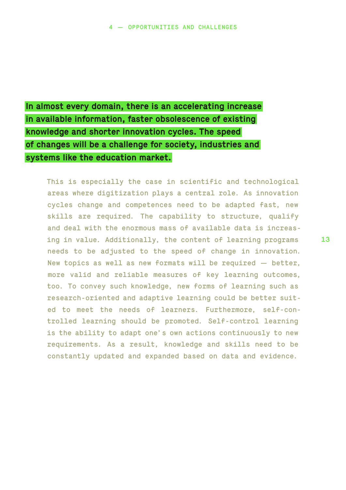## **In almost every domain, there is an accelerating increase in available information, faster obsolescence of existing knowledge and shorter innovation cycles. The speed of changes will be a challenge for society, industries and systems like the education market.**

This is especially the case in scientific and technological areas where digitization plays a central role. As innovation cycles change and competences need to be adapted fast, new skills are required. The capability to structure, qualify and deal with the enormous mass of available data is increasing in value. Additionally, the content of learning programs needs to be adjusted to the speed of change in innovation. New topics as well as new formats will be required — better, more valid and reliable measures of key learning outcomes, too. To convey such knowledge, new forms of learning such as research-oriented and adaptive learning could be better suited to meet the needs of learners. Furthermore, self-controlled learning should be promoted. Self-control learning is the ability to adapt one's own actions continuously to new requirements. As a result, knowledge and skills need to be constantly updated and expanded based on data and evidence.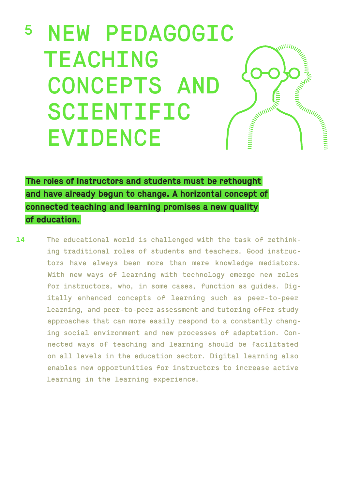## <sup>5</sup> NEW PEDAGOGIC WWWW TEACHING **DANT AND STRAIGHTER** CONCEPTS AND **MARKET CONTROLLER WITH THE REAL PROPERTY AND REAL PROPERTY AND REAL PROPERTY.** SCIENTIFIC EVIDENCE

**The roles of instructors and students must be rethought and have already begun to change. A horizontal concept of connected teaching and learning promises a new quality of education.**

14 The educational world is challenged with the task of rethinking traditional roles of students and teachers. Good instructors have always been more than mere knowledge mediators. With new ways of learning with technology emerge new roles for instructors, who, in some cases, function as guides. Digitally enhanced concepts of learning such as peer-to-peer learning, and peer-to-peer assessment and tutoring offer study approaches that can more easily respond to a constantly changing social environment and new processes of adaptation. Connected ways of teaching and learning should be facilitated on all levels in the education sector. Digital learning also enables new opportunities for instructors to increase active learning in the learning experience.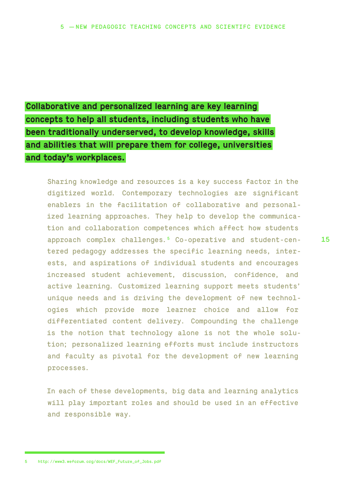## **Collaborative and personalized learning are key learning concepts to help all students, including students who have been traditionally underserved, to develop knowledge, skills and abilities that will prepare them for college, universities and today's workplaces.**

Sharing knowledge and resources is a key success factor in the digitized world. Contemporary technologies are significant enablers in the facilitation of collaborative and personalized learning approaches. They help to develop the communication and collaboration competences which affect how students approach complex challenges.5 Co-operative and student-centered pedagogy addresses the specific learning needs, interests, and aspirations of individual students and encourages increased student achievement, discussion, confidence, and active learning. Customized learning support meets students' unique needs and is driving the development of new technologies which provide more learner choice and allow for differentiated content delivery. Compounding the challenge is the notion that technology alone is not the whole solution; personalized learning efforts must include instructors and faculty as pivotal for the development of new learning processes.

In each of these developments, big data and learning analytics will play important roles and should be used in an effective and responsible way.

15

<sup>5</sup> http://www3.weforum.org/docs/WEF\_Future\_of\_Jobs.pdf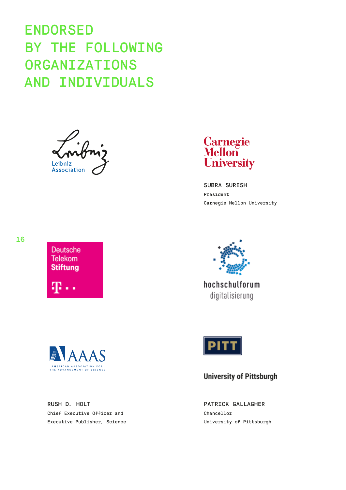## ENDORSED BY THE FOLLOWING ORGANIZATIONS AND INDIVIDUALS

Leibniz Association



SUBRA SURESH President Carnegie Mellon University



hochschulforum digitalisierung



**Deutsche Telekom Stiftung** 

ጡ..

RUSH D. HOLT Chief Executive Officer and Executive Publisher, Science



#### **University of Pittsburgh**

PATRICK GALLAGHER Chancellor University of Pittsburgh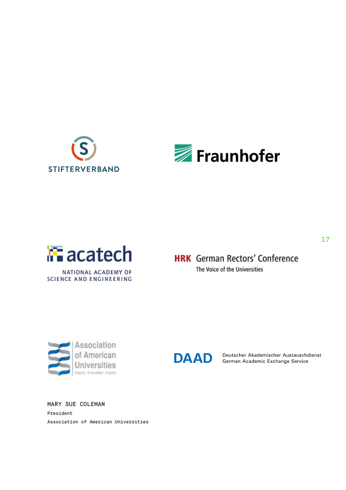





**HRK** German Rectors' Conference The Voice of the Universities



**DAAD** 

Deutscher Akademischer Austauschdienst German Academic Exchange Service

MARY SUE COLEMAN President Association of American Universities